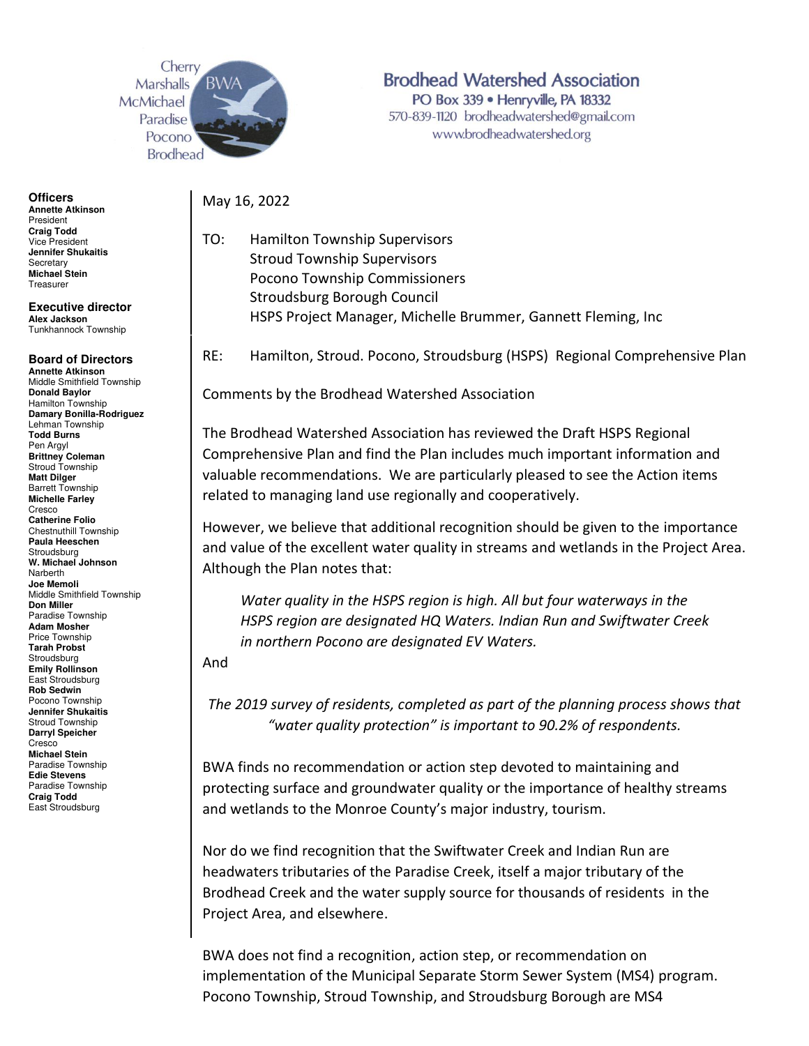

**Officers Annette Atkinson**  President **Craig Todd**  Vice President **Jennifer Shukaitis Secretary Michael Stein**  Treasurer

**Executive director Alex Jackson**  Tunkhannock Township

## **Board of Directors**

**Annette Atkinson**  Middle Smithfield Township **Donald Baylor**  Hamilton Township **Damary Bonilla-Rodriguez**  Lehman Township **Todd Burns**  Pen Argyl **Brittney Coleman**  Stroud Township **Matt Dilger**  Barrett Township **Michelle Farley**  Cresco **Catherine Folio**  Chestnuthill Township **Paula Heeschen**  Stroudsburg **W. Michael Johnson**  Narberth **Joe Memoli**  Middle Smithfield Township **Don Miller**  Paradise Township **Adam Mosher**  Price Township **Tarah Probst**  Stroudsburg **Emily Rollinson**  East Stroudsburg **Rob Sedwin**  Pocono Township **Jennifer Shukaitis**  Stroud Township **Darryl Speicher**  Cresco **Michael Stein**  Paradise Township **Edie Stevens**  Paradise Township **Craig Todd**  East Stroudsburg

**Brodhead Watershed Association** PO Box 339 · Henryville, PA 18332 570-839-1120 brodheadwatershed@gmail.com www.brodheadwatershed.org

May 16, 2022

TO: Hamilton Township Supervisors Stroud Township Supervisors Pocono Township Commissioners Stroudsburg Borough Council HSPS Project Manager, Michelle Brummer, Gannett Fleming, Inc

RE: Hamilton, Stroud. Pocono, Stroudsburg (HSPS) Regional Comprehensive Plan

Comments by the Brodhead Watershed Association

The Brodhead Watershed Association has reviewed the Draft HSPS Regional Comprehensive Plan and find the Plan includes much important information and valuable recommendations. We are particularly pleased to see the Action items related to managing land use regionally and cooperatively.

However, we believe that additional recognition should be given to the importance and value of the excellent water quality in streams and wetlands in the Project Area. Although the Plan notes that:

*Water quality in the HSPS region is high. All but four waterways in the HSPS region are designated HQ Waters. Indian Run and Swiftwater Creek in northern Pocono are designated EV Waters.* 

And

*The 2019 survey of residents, completed as part of the planning process shows that "water quality protection" is important to 90.2% of respondents.*

BWA finds no recommendation or action step devoted to maintaining and protecting surface and groundwater quality or the importance of healthy streams and wetlands to the Monroe County's major industry, tourism.

Nor do we find recognition that the Swiftwater Creek and Indian Run are headwaters tributaries of the Paradise Creek, itself a major tributary of the Brodhead Creek and the water supply source for thousands of residents in the Project Area, and elsewhere.

BWA does not find a recognition, action step, or recommendation on implementation of the Municipal Separate Storm Sewer System (MS4) program. Pocono Township, Stroud Township, and Stroudsburg Borough are MS4